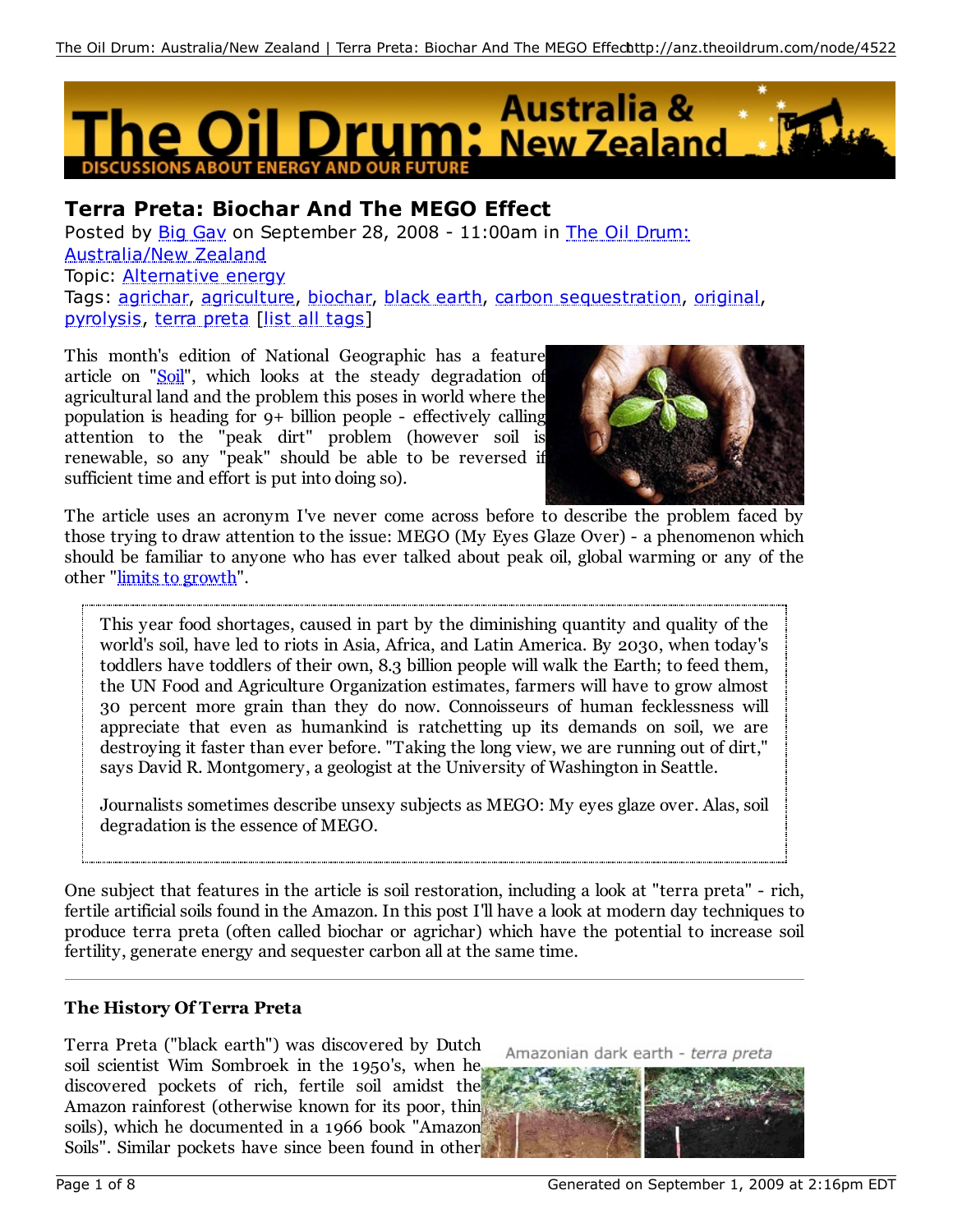

# **Terra Preta: Biochar And The MEGO Effect**

Posted by Big Gay on September 28, 2008 - 11:00am in The Oil Drum: Australia/New Zealand Topic: Alternative energy Tags: agrichar, agriculture, biochar, black earth, carbon sequestration, original, pyrolysis, terra preta [list all tags]

This month's edition of National Geographic has a feature article on "Soil", which looks at the steady degradation of agricultural land and the problem this poses in world where the population is heading for 9+ billion people - effectively calling attention to the "peak dirt" problem (however soil is renewable, so any "peak" should be able to be reversed if sufficient time and effort is put into doing so).



The article uses an acronym I've never come across before to describe the problem faced by those trying to draw attention to the issue: MEGO (My Eyes Glaze Over) - a phenomenon which should be familiar to anyone who has ever talked about peak oil, global warming or any of the other "limits to growth".

This year food shortages, caused in part by the diminishing quantity and quality of the world's soil, have led to riots in Asia, Africa, and Latin America. By 2030, when today's toddlers have toddlers of their own, 8.3 billion people will walk the Earth; to feed them, the UN Food and Agriculture Organization estimates, farmers will have to grow almost 30 percent more grain than they do now. Connoisseurs of human fecklessness will appreciate that even as humankind is ratchetting up its demands on soil, we are destroying it faster than ever before. "Taking the long view, we are running out of dirt," says David R. Montgomery, a geologist at the University of Washington in Seattle.

Journalists sometimes describe unsexy subjects as MEGO: My eyes glaze over. Alas, soil degradation is the essence of MEGO.

One subject that features in the article is soil restoration, including a look at "terra preta" - rich, fertile artificial soils found in the Amazon. In this post I'll have a look at modern day techniques to produce terra preta (often called biochar or agrichar) which have the potential to increase soil fertility, generate energy and sequester carbon all at the same time.

#### **The History Of Terra Preta**

Terra Preta ("black earth") was discovered by Dutch Amazonian dark earth - terra preta soil scientist Wim Sombroek in the 1950's, when he discovered pockets of rich, fertile soil amidst the Amazon rainforest (otherwise known for its poor, thin soils), which he documented in a 1966 book "Amazon Soils". Similar pockets have since been found in other

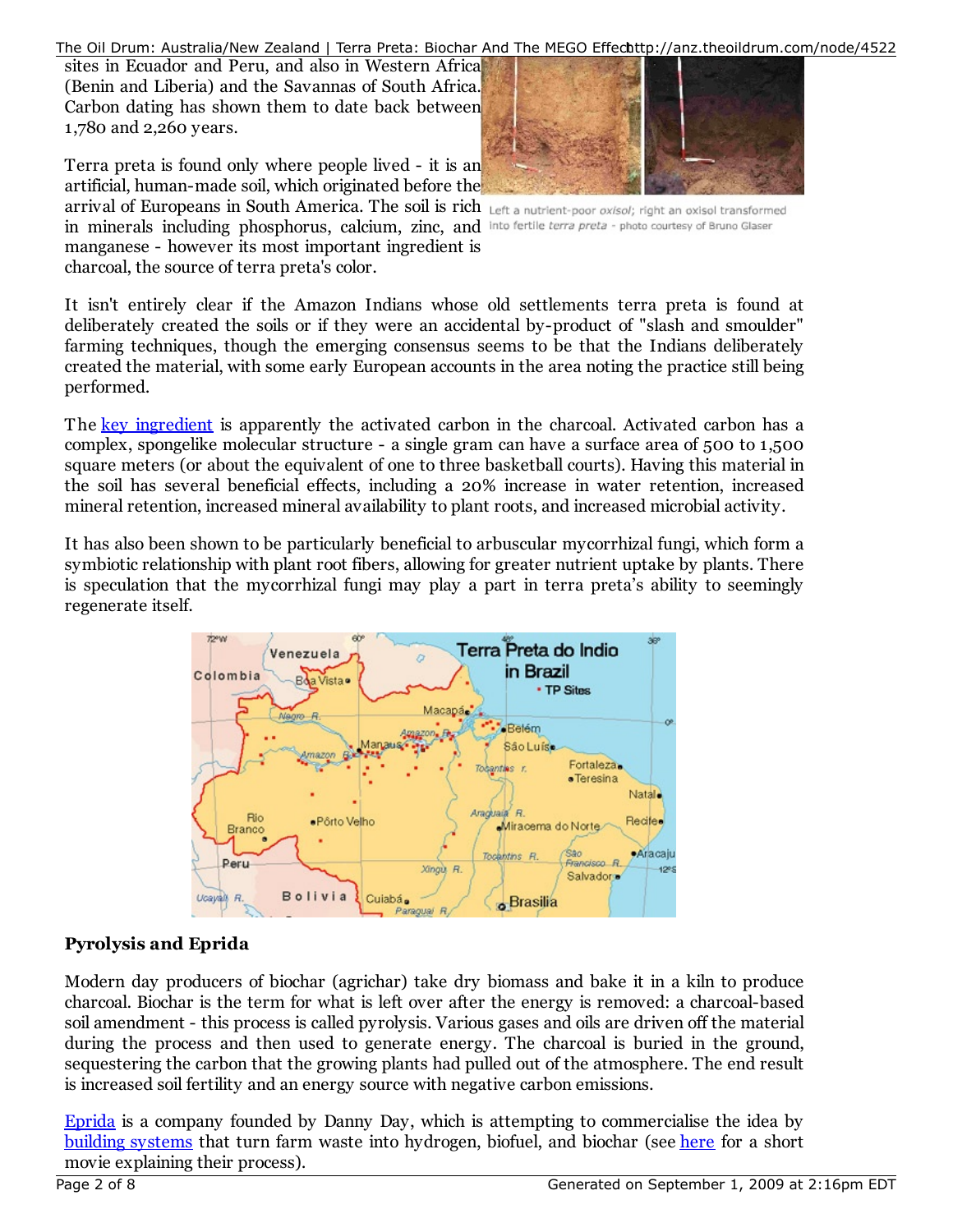The Oil Drum: Australia/New Zealand | Terra Preta: Biochar And The MEGO Effechttp://anz.theoildrum.com/node/4522

sites in Ecuador and Peru, and also in Western Africa (Benin and Liberia) and the Savannas of South Africa. Carbon dating has shown them to date back between 1,780 and 2,260 years.

Terra preta is found only where people lived - it is an artificial, human-made soil, which originated before the arrival of Europeans in South America. The soil is rich Left a nutrient-poor oxisol; right an oxisol transformed in minerals including phosphorus, calcium, zinc, and into fertile terra preta - photo courtesy of Bruno Glaser manganese - however its most important ingredient is charcoal, the source of terra preta's color.



It isn't entirely clear if the Amazon Indians whose old settlements terra preta is found at deliberately created the soils or if they were an accidental by-product of "slash and smoulder" farming techniques, though the emerging consensus seems to be that the Indians deliberately created the material, with some early European accounts in the area noting the practice still being performed.

The key ingredient is apparently the activated carbon in the charcoal. Activated carbon has a complex, spongelike molecular structure - a single gram can have a surface area of 500 to 1,500 square meters (or about the equivalent of one to three basketball courts). Having this material in the soil has several beneficial effects, including a 20% increase in water retention, increased mineral retention, increased mineral availability to plant roots, and increased microbial activity.

It has also been shown to be particularly beneficial to arbuscular mycorrhizal fungi, which form a symbiotic relationship with plant root fibers, allowing for greater nutrient uptake by plants. There is speculation that the mycorrhizal fungi may play a part in terra preta's ability to seemingly regenerate itself.



## **Pyrolysis and Eprida**

Modern day producers of biochar (agrichar) take dry biomass and bake it in a kiln to produce charcoal. Biochar is the term for what is left over after the energy is removed: a charcoal-based soil amendment - this process is called pyrolysis. Various gases and oils are driven off the material during the process and then used to generate energy. The charcoal is buried in the ground, sequestering the carbon that the growing plants had pulled out of the atmosphere. The end result is increased soil fertility and an energy source with negative carbon emissions.

Eprida is a company founded by Danny Day, which is attempting to commercialise the idea by building systems that turn farm waste into hydrogen, biofuel, and biochar (see here for a short movie explaining their process).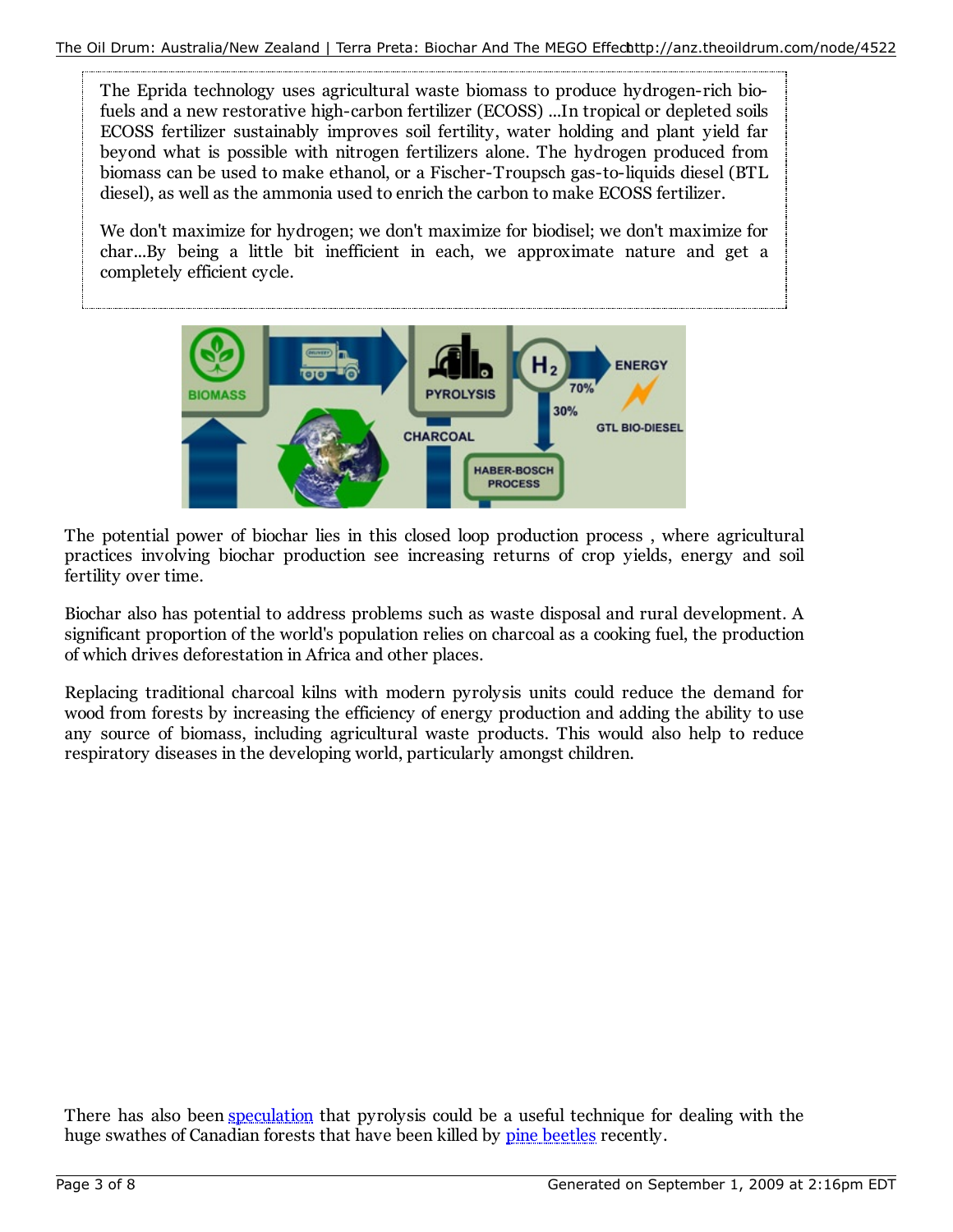The Eprida technology uses agricultural waste biomass to produce hydrogen-rich biofuels and a new restorative high-carbon fertilizer (ECOSS) ...In tropical or depleted soils ECOSS fertilizer sustainably improves soil fertility, water holding and plant yield far beyond what is possible with nitrogen fertilizers alone. The hydrogen produced from biomass can be used to make ethanol, or a Fischer-Troupsch gas-to-liquids diesel (BTL diesel), as well as the ammonia used to enrich the carbon to make ECOSS fertilizer.

We don't maximize for hydrogen; we don't maximize for biodisel; we don't maximize for char...By being a little bit inefficient in each, we approximate nature and get a completely efficient cycle.



The potential power of biochar lies in this closed loop production process , where agricultural practices involving biochar production see increasing returns of crop yields, energy and soil fertility over time.

Biochar also has potential to address problems such as waste disposal and rural development. A significant proportion of the world's population relies on charcoal as a cooking fuel, the production of which drives deforestation in Africa and other places.

Replacing traditional charcoal kilns with modern pyrolysis units could reduce the demand for wood from forests by increasing the efficiency of energy production and adding the ability to use any source of biomass, including agricultural waste products. This would also help to reduce respiratory diseases in the developing world, particularly amongst children.

There has also been speculation that pyrolysis could be a useful technique for dealing with the huge swathes of Canadian forests that have been killed by pine beetles recently.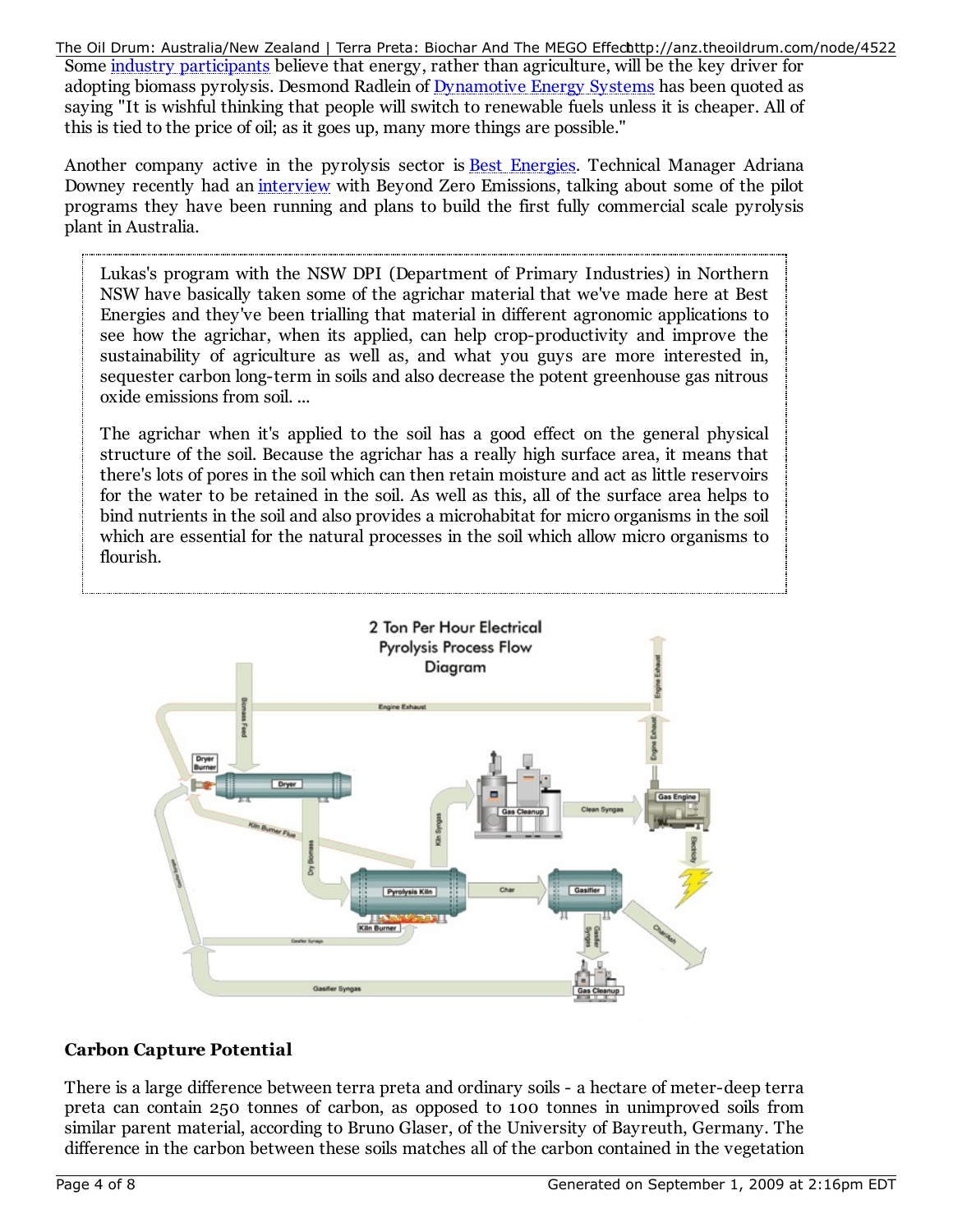Some industry participants believe that energy, rather than agriculture, will be the key driver for adopting biomass pyrolysis. Desmond Radlein of Dynamotive Energy Systems has been quoted as saying "It is wishful thinking that people will switch to renewable fuels unless it is cheaper. All of this is tied to the price of oil; as it goes up, many more things are possible." The Oil Drum: Australia/New Zealand | Terra Preta: Biochar And The MEGO Effechttp://anz.theoildrum.com/node/4522

Another company active in the pyrolysis sector is Best Energies. Technical Manager Adriana Downey recently had an interview with Beyond Zero Emissions, talking about some of the pilot programs they have been running and plans to build the first fully commercial scale pyrolysis plant in Australia.

Lukas's program with the NSW DPI (Department of Primary Industries) in Northern NSW have basically taken some of the agrichar material that we've made here at Best Energies and they've been trialling that material in different agronomic applications to see how the agrichar, when its applied, can help crop-productivity and improve the sustainability of agriculture as well as, and what you guys are more interested in, sequester carbon long-term in soils and also decrease the potent greenhouse gas nitrous oxide emissions from soil. ...

The agrichar when it's applied to the soil has a good effect on the general physical structure of the soil. Because the agrichar has a really high surface area, it means that there's lots of pores in the soil which can then retain moisture and act as little reservoirs for the water to be retained in the soil. As well as this, all of the surface area helps to bind nutrients in the soil and also provides a microhabitat for micro organisms in the soil which are essential for the natural processes in the soil which allow micro organisms to flourish.



### **Carbon Capture Potential**

There is a large difference between terra preta and ordinary soils - a hectare of meter-deep terra preta can contain 250 tonnes of carbon, as opposed to 100 tonnes in unimproved soils from similar parent material, according to Bruno Glaser, of the University of Bayreuth, Germany. The difference in the carbon between these soils matches all of the carbon contained in the vegetation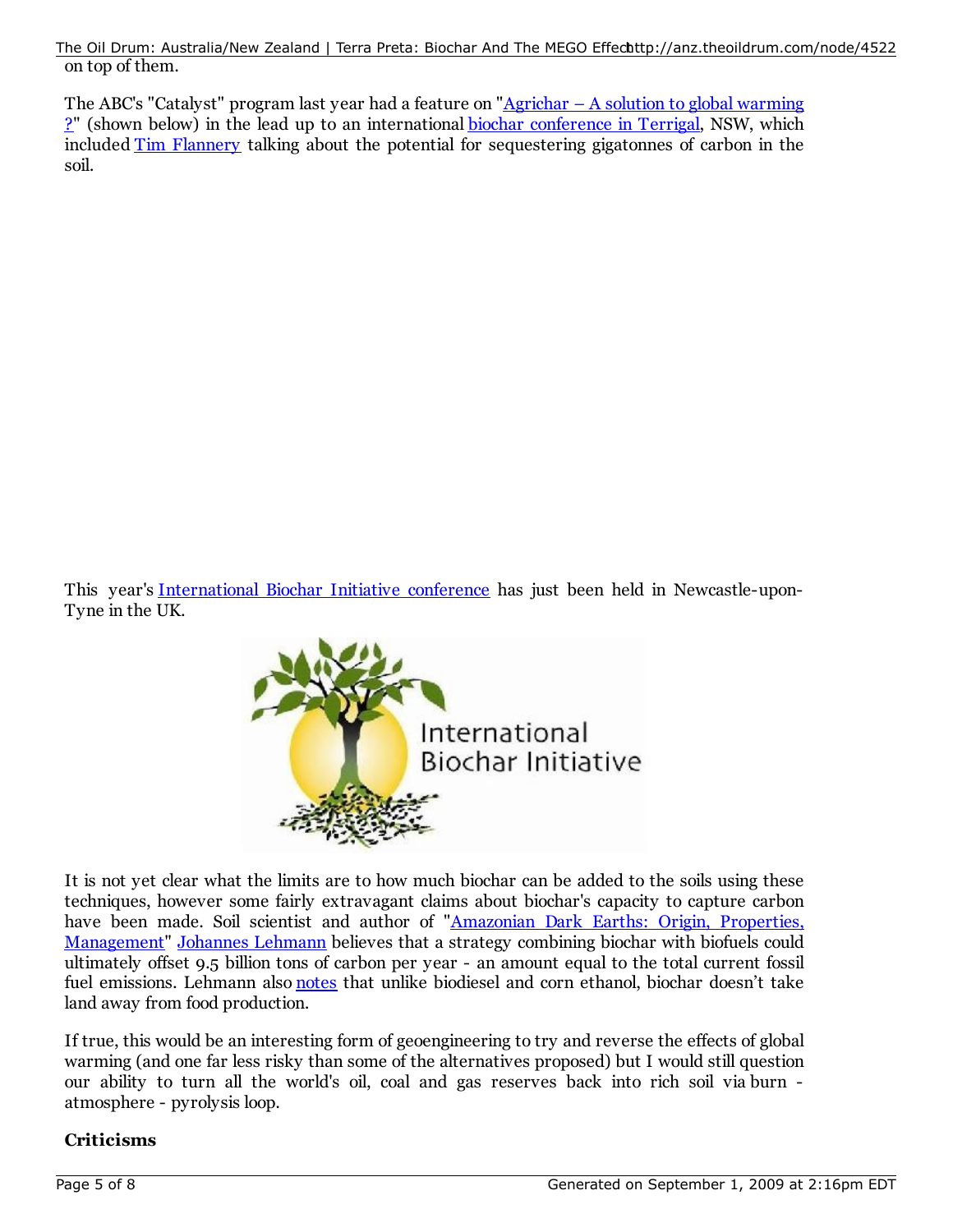on top of them. The Oil Drum: Australia/New Zealand | Terra Preta: Biochar And The MEGO Effechttp://anz.theoildrum.com/node/4522

The ABC's "Catalyst" program last year had a feature on " $\Delta$ grichar – A solution to global warming ?" (shown below) in the lead up to an international biochar conference in Terrigal, NSW, which included Tim Flannery talking about the potential for sequestering gigatonnes of carbon in the soil.

This year's International Biochar Initiative conference has just been held in Newcastle-upon-Tyne in the UK.



It is not yet clear what the limits are to how much biochar can be added to the soils using these techniques, however some fairly extravagant claims about biochar's capacity to capture carbon have been made. Soil scientist and author of "Amazonian Dark Earths: Origin, Properties, Management" Johannes Lehmann believes that a strategy combining biochar with biofuels could ultimately offset 9.5 billion tons of carbon per year - an amount equal to the total current fossil fuel emissions. Lehmann also notes that unlike biodiesel and corn ethanol, biochar doesn't take land away from food production.

If true, this would be an interesting form of geoengineering to try and reverse the effects of global warming (and one far less risky than some of the alternatives proposed) but I would still question our ability to turn all the world's oil, coal and gas reserves back into rich soil via burn atmosphere - pyrolysis loop.

## **Criticisms**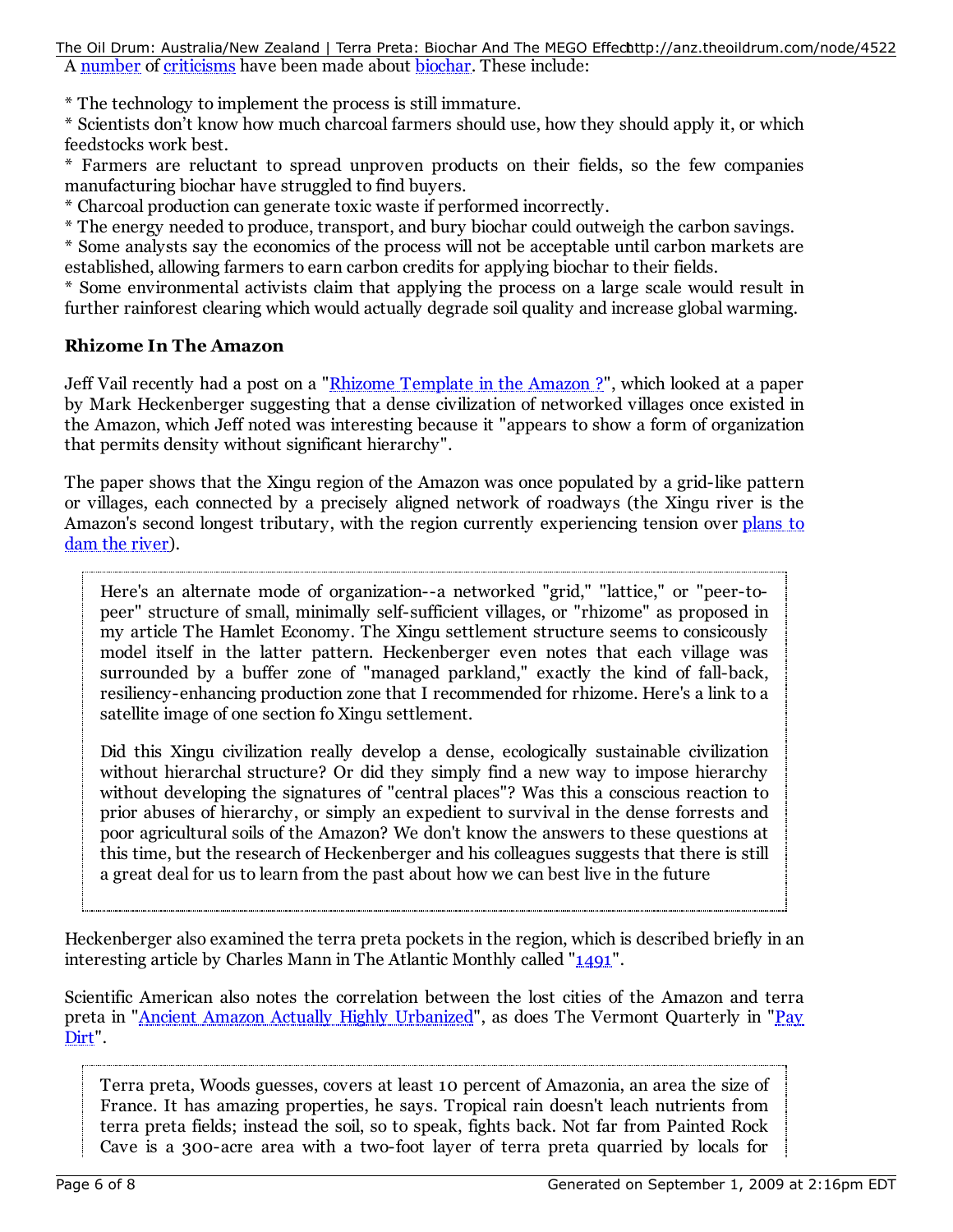A number of criticisms have been made about biochar. These include: The Oil Drum: Australia/New Zealand | Terra Preta: Biochar And The MEGO Effechttp://anz.theoildrum.com/node/4522

\* The technology to implement the process is still immature.

\* Scientists don't know how much charcoal farmers should use, how they should apply it, or which feedstocks work best.

\* Farmers are reluctant to spread unproven products on their fields, so the few companies manufacturing biochar have struggled to find buyers.

\* Charcoal production can generate toxic waste if performed incorrectly.

\* The energy needed to produce, transport, and bury biochar could outweigh the carbon savings.

\* Some analysts say the economics of the process will not be acceptable until carbon markets are established, allowing farmers to earn carbon credits for applying biochar to their fields.

\* Some environmental activists claim that applying the process on a large scale would result in further rainforest clearing which would actually degrade soil quality and increase global warming.

#### **Rhizome In The Amazon**

Jeff Vail recently had a post on a "Rhizome Template in the Amazon ?", which looked at a paper by Mark Heckenberger suggesting that a dense civilization of networked villages once existed in the Amazon, which Jeff noted was interesting because it "appears to show a form of organization that permits density without significant hierarchy".

The paper shows that the Xingu region of the Amazon was once populated by a grid-like pattern or villages, each connected by a precisely aligned network of roadways (the Xingu river is the Amazon's second longest tributary, with the region currently experiencing tension over plans to dam the river).

Here's an alternate mode of organization--a networked "grid," "lattice," or "peer-topeer" structure of small, minimally self-sufficient villages, or "rhizome" as proposed in my article The Hamlet Economy. The Xingu settlement structure seems to consicously model itself in the latter pattern. Heckenberger even notes that each village was surrounded by a buffer zone of "managed parkland," exactly the kind of fall-back, resiliency-enhancing production zone that I recommended for rhizome. Here's a link to a satellite image of one section fo Xingu settlement.

Did this Xingu civilization really develop a dense, ecologically sustainable civilization without hierarchal structure? Or did they simply find a new way to impose hierarchy without developing the signatures of "central places"? Was this a conscious reaction to prior abuses of hierarchy, or simply an expedient to survival in the dense forrests and poor agricultural soils of the Amazon? We don't know the answers to these questions at this time, but the research of Heckenberger and his colleagues suggests that there is still a great deal for us to learn from the past about how we can best live in the future

Heckenberger also examined the terra preta pockets in the region, which is described briefly in an interesting article by Charles Mann in The Atlantic Monthly called "1491".

Scientific American also notes the correlation between the lost cities of the Amazon and terra preta in "Ancient Amazon Actually Highly Urbanized", as does The Vermont Quarterly in "Pay Dirt".

Terra preta, Woods guesses, covers at least 10 percent of Amazonia, an area the size of France. It has amazing properties, he says. Tropical rain doesn't leach nutrients from terra preta fields; instead the soil, so to speak, fights back. Not far from Painted Rock Cave is a 300-acre area with a two-foot layer of terra preta quarried by locals for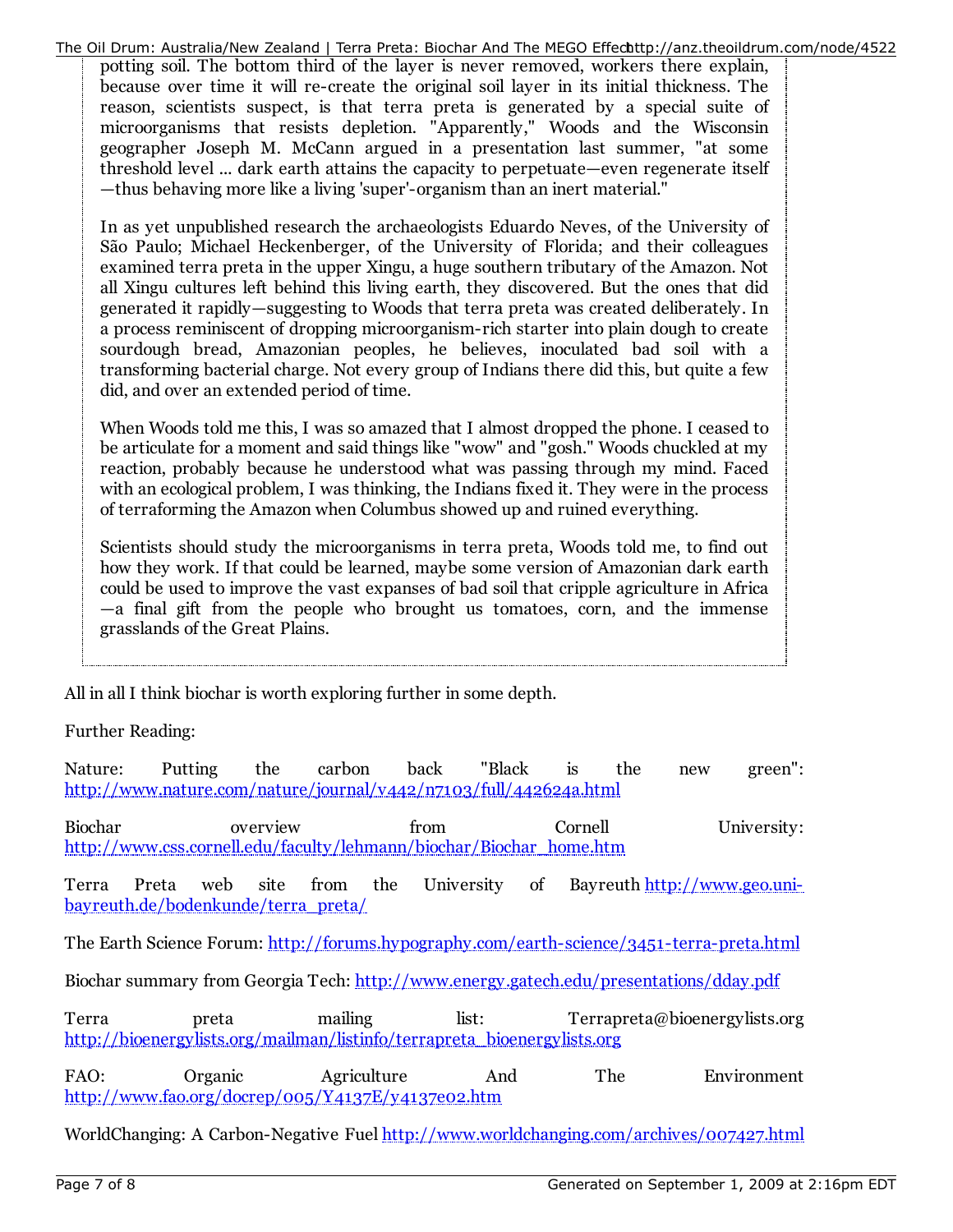The Oil Drum: Australia/New Zealand | Terra Preta: Biochar And The MEGO Effechttp://anz.theoildrum.com/node/4522

potting soil. The bottom third of the layer is never removed, workers there explain, because over time it will re-create the original soil layer in its initial thickness. The reason, scientists suspect, is that terra preta is generated by a special suite of microorganisms that resists depletion. "Apparently," Woods and the Wisconsin geographer Joseph M. McCann argued in a presentation last summer, "at some threshold level ... dark earth attains the capacity to perpetuate—even regenerate itself —thus behaving more like a living 'super'-organism than an inert material."

In as yet unpublished research the archaeologists Eduardo Neves, of the University of São Paulo; Michael Heckenberger, of the University of Florida; and their colleagues examined terra preta in the upper Xingu, a huge southern tributary of the Amazon. Not all Xingu cultures left behind this living earth, they discovered. But the ones that did generated it rapidly—suggesting to Woods that terra preta was created deliberately. In a process reminiscent of dropping microorganism-rich starter into plain dough to create sourdough bread, Amazonian peoples, he believes, inoculated bad soil with a transforming bacterial charge. Not every group of Indians there did this, but quite a few did, and over an extended period of time.

When Woods told me this, I was so amazed that I almost dropped the phone. I ceased to be articulate for a moment and said things like "wow" and "gosh." Woods chuckled at my reaction, probably because he understood what was passing through my mind. Faced with an ecological problem, I was thinking, the Indians fixed it. They were in the process of terraforming the Amazon when Columbus showed up and ruined everything.

Scientists should study the microorganisms in terra preta, Woods told me, to find out how they work. If that could be learned, maybe some version of Amazonian dark earth could be used to improve the vast expanses of bad soil that cripple agriculture in Africa —a final gift from the people who brought us tomatoes, corn, and the immense grasslands of the Great Plains.

All in all I think biochar is worth exploring further in some depth.

Further Reading:

Nature: Putting the carbon back "Black is the new green": http://www.nature.com/nature/journal/v442/n7103/full/442624a.html

Biochar overview from Cornell University: http://www.css.cornell.edu/faculty/lehmann/biochar/Biochar\_home.htm

Terra Preta web site from the University of Bayreuth http://www.geo.unibayreuth.de/bodenkunde/terra\_preta/

The Earth Science Forum: http://forums.hypography.com/earth-science/3451-terra-preta.html

Biochar summary from Georgia Tech: http://www.energy.gatech.edu/presentations/dday.pdf

Terra preta mailing list: Terrapreta@bioenergylists.org http://bioenergylists.org/mailman/listinfo/terrapreta\_bioenergylists.org

FAO: Organic Agriculture And The Environment http://www.fao.org/docrep/005/Y4137E/y4137e02.htm

WorldChanging: A Carbon-Negative Fuel http://www.worldchanging.com/archives/007427.html